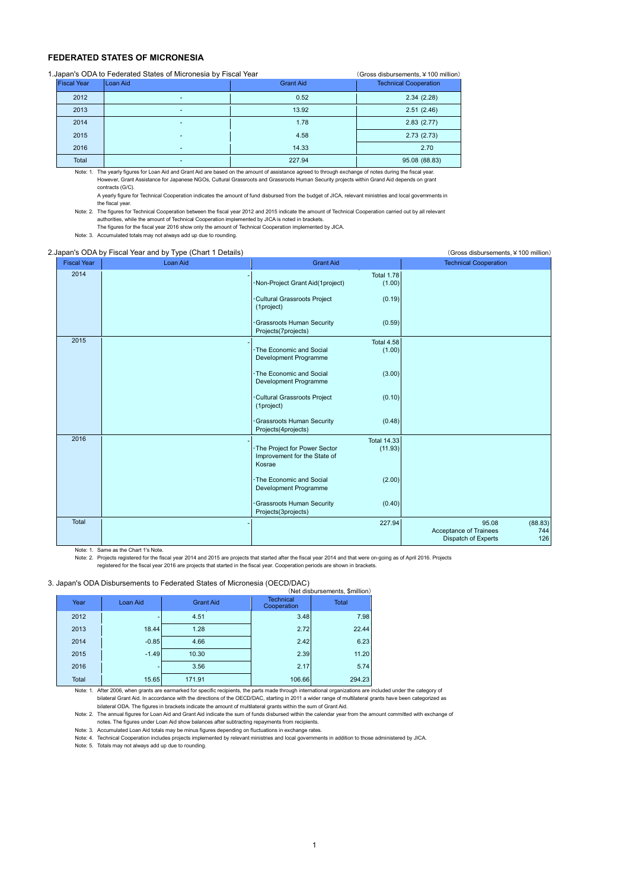## **FEDERATED STATES OF MICRONESIA**

| 1. Japan's ODA to Federated States of Micronesia by Fiscal Year | (Gross disbursements, ¥ 100 million) |                  |                              |
|-----------------------------------------------------------------|--------------------------------------|------------------|------------------------------|
| <b>Fiscal Year</b>                                              | Loan Aid                             | <b>Grant Aid</b> | <b>Technical Cooperation</b> |
| 2012                                                            |                                      | 0.52             | 2.34(2.28)                   |
| 2013                                                            |                                      | 13.92            | 2.51(2.46)                   |
| 2014                                                            |                                      | 1.78             | 2.83(2.77)                   |
| 2015                                                            |                                      | 4.58             | 2.73(2.73)                   |
| 2016                                                            |                                      | 14.33            | 2.70                         |
| Total                                                           |                                      | 227.94           | 95.08 (88.83)                |

Note: 1. The yearly figures for Loan Aid and Grant Aid are based on the amount of assistance agreed to through exchange of notes during the fiscal year. However, Grant Assistance for Japanese NGOs, Cultural Grassroots and Grassroots Human Security projects within Grand Aid depends on grant contracts (G/C).

A yearly figure for Technical Cooperation indicates the amount of fund disbursed from the budget of JICA, relevant ministries and local governments in the fiscal year.

Note: 2. The figures for Technical Cooperation between the fiscal year 2012 and 2015 indicate the amount of Technical Cooperation carried out by all relevant authorities, while the amount of Technical Cooperation implemented by JICA is noted in brackets.

The figures for the fiscal year 2016 show only the amount of Technical Cooperation implemented by JICA. Note: 3. Accumulated totals may not always add up due to rounding.

## 2.Japan's ODA by Fiscal Year and by Type (Chart 1 Details) (Gross disbursements,¥100 million)

| <b>Fiscal Year</b> | <b>Loan Aid</b> | <b>Grant Aid</b>                                                                                          | <b>Technical Cooperation</b>                                                    |
|--------------------|-----------------|-----------------------------------------------------------------------------------------------------------|---------------------------------------------------------------------------------|
| 2014               |                 | <b>Total 1.78</b><br>Non-Project Grant Aid(1project)<br>(1.00)                                            |                                                                                 |
|                    |                 | Cultural Grassroots Project<br>(0.19)<br>(1project)                                                       |                                                                                 |
|                    |                 | Grassroots Human Security<br>(0.59)<br>Projects(7projects)                                                |                                                                                 |
| 2015               |                 | <b>Total 4.58</b><br>· The Economic and Social<br>(1.00)<br>Development Programme                         |                                                                                 |
|                    |                 | · The Economic and Social<br>(3.00)<br>Development Programme                                              |                                                                                 |
|                    |                 | Cultural Grassroots Project<br>(0.10)<br>(1project)                                                       |                                                                                 |
|                    |                 | Grassroots Human Security<br>(0.48)<br>Projects(4projects)                                                |                                                                                 |
| 2016               |                 | <b>Total 14.33</b><br>· The Project for Power Sector<br>(11.93)<br>Improvement for the State of<br>Kosrae |                                                                                 |
|                    |                 | · The Economic and Social<br>(2.00)<br>Development Programme                                              |                                                                                 |
|                    |                 | Grassroots Human Security<br>(0.40)<br>Projects(3projects)                                                |                                                                                 |
| Total              |                 | 227.94                                                                                                    | 95.08<br>(88.83)<br>Acceptance of Trainees<br>744<br>126<br>Dispatch of Experts |

Note: 1. Same as the Chart 1's Note.

Note: 2. Projects registered for the fiscal year 2014 and 2015 are projects that started after the fiscal year 2014 and that were on-going as of April 2016. Projects registered for the fiscal year 2016 are projects that started in the fiscal year. Cooperation periods are shown in brackets.

## 3. Japan's ODA Disbursements to Federated States of Micronesia (OECD/DAC)

|       |          |                  |                                 | (Net disbursements, \$million)<br><b>Total</b> |  |  |  |  |
|-------|----------|------------------|---------------------------------|------------------------------------------------|--|--|--|--|
| Year  | Loan Aid | <b>Grant Aid</b> | <b>Technical</b><br>Cooperation |                                                |  |  |  |  |
| 2012  |          | 4.51             | 3.48                            | 7.98                                           |  |  |  |  |
| 2013  | 18.44    | 1.28             | 2.72                            | 22.44                                          |  |  |  |  |
| 2014  | $-0.85$  | 4.66             | 2.42                            | 6.23                                           |  |  |  |  |
| 2015  | $-1.49$  | 10.30            | 2.39                            | 11.20                                          |  |  |  |  |
| 2016  |          | 3.56             | 2.17                            | 5.74                                           |  |  |  |  |
| Total | 15.65    | 171.91           | 106.66                          | 294.23                                         |  |  |  |  |

Note: 1. After 2006, when grants are earmarked for specific recipients, the parts made through international organizations are included under the category of bilateral Grant Aid. In accordance with the directions of the OECD/DAC, starting in 2011 a wider range of multilateral grants have been categorized as bilateral ODA. The figures in brackets indicate the amount of multilateral grants within the sum of Grant Aid.

Note: 2. The annual figures for Loan Aid and Grant Aid indicate the sum of funds disbursed within the calendar year from the amount committed with exchange of notes. The figures under Loan Aid show balances after subtracting repayments from recipients.

Note: 3. Accumulated Loan Aid totals may be minus figures depending on fluctuations in exchange rates.<br>Note: 4. Technical Cooperation includes projects implemented by relevant ministries and local governments in addition t

Note: 5. Totals may not always add up due to rounding.